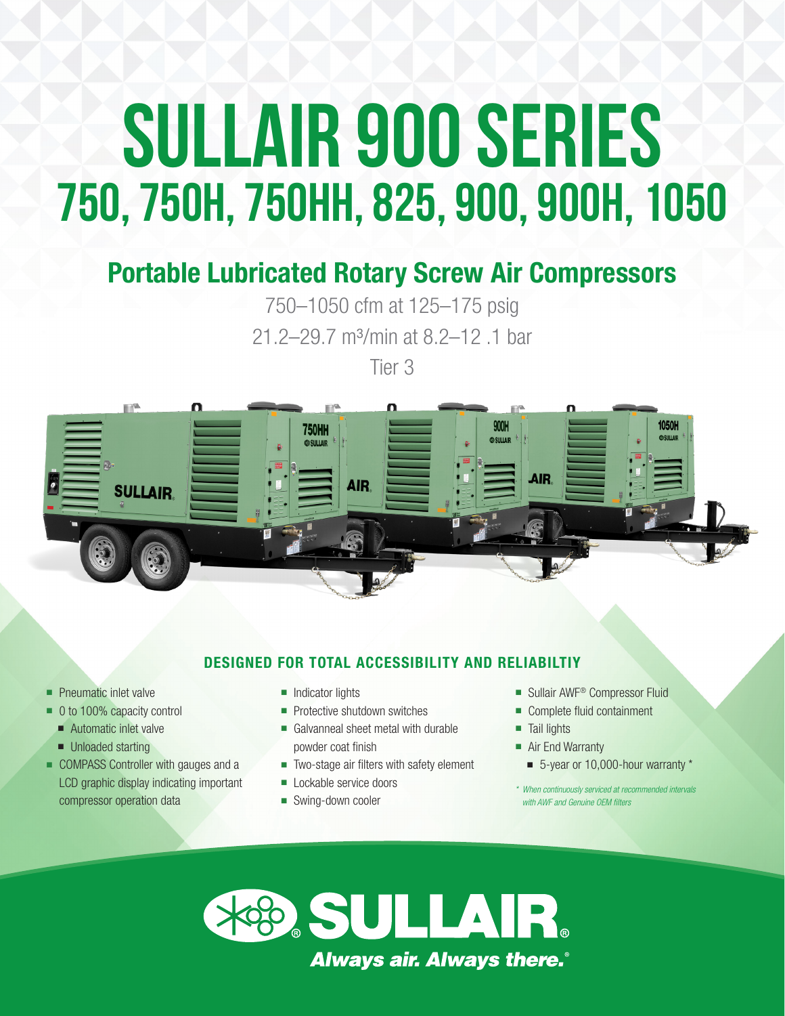# **SULLAIR 900 Series 750, 750H, 750HH, 825, 900, 900H, 1050**

### Portable Lubricated Rotary Screw Air Compressors

750–1050 cfm at 125–175 psig 21.2–29.7 m³/min at 8.2–12 .1 bar

Tier 3



#### DESIGNED FOR TOTAL ACCESSIBILITY AND RELIABILTIY

- **Pneumatic inlet valve**
- 0 to 100% capacity control
	- **n** Automatic inlet valve
	- Unloaded starting
- **COMPASS Controller with gauges and a** LCD graphic display indicating important compressor operation data
- **n** Indicator lights
- **Protective shutdown switches**
- **n** Galvanneal sheet metal with durable powder coat finish
- Two-stage air filters with safety element
- **n** Lockable service doors
- Swing-down cooler
- Sullair AWF<sup>®</sup> Compressor Fluid
- Complete fluid containment
- **n Tail lights**
- Air End Warranty
	- 5-year or 10,000-hour warranty \*
- *\* When continuously serviced at recommended intervals with AWF and Genuine OEM filters*